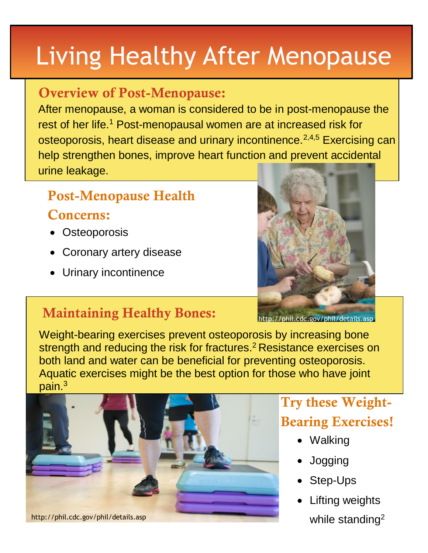# Living Healthy After Menopause

#### **Overview of Post-Menopause:**

After menopause, a woman is considered to be in post-menopause the rest of her life.<sup>1</sup> Post-menopausal women are at increased risk for osteoporosis, heart disease and urinary incontinence.<sup>2,4,5</sup> Exercising can help strengthen bones, improve heart function and prevent accidental urine leakage.

# **Post-Menopause Health Concerns:**

- Osteoporosis
- Coronary artery disease
- Urinary incontinence



## **Maintaining Healthy Bones:**

http://phil.cdc.gov/phil/details.asp

Weight-bearing exercises prevent osteoporosis by increasing bone strength and reducing the risk for fractures.<sup>2</sup> Resistance exercises on both land and water can be beneficial for preventing osteoporosis. Aquatic exercises might be the best option for those who have joint pain. 3



# **Try these Weight-Bearing Exercises!**

- Walking
- Jogging
- Step-Ups
- Lifting weights while standing<sup>2</sup>